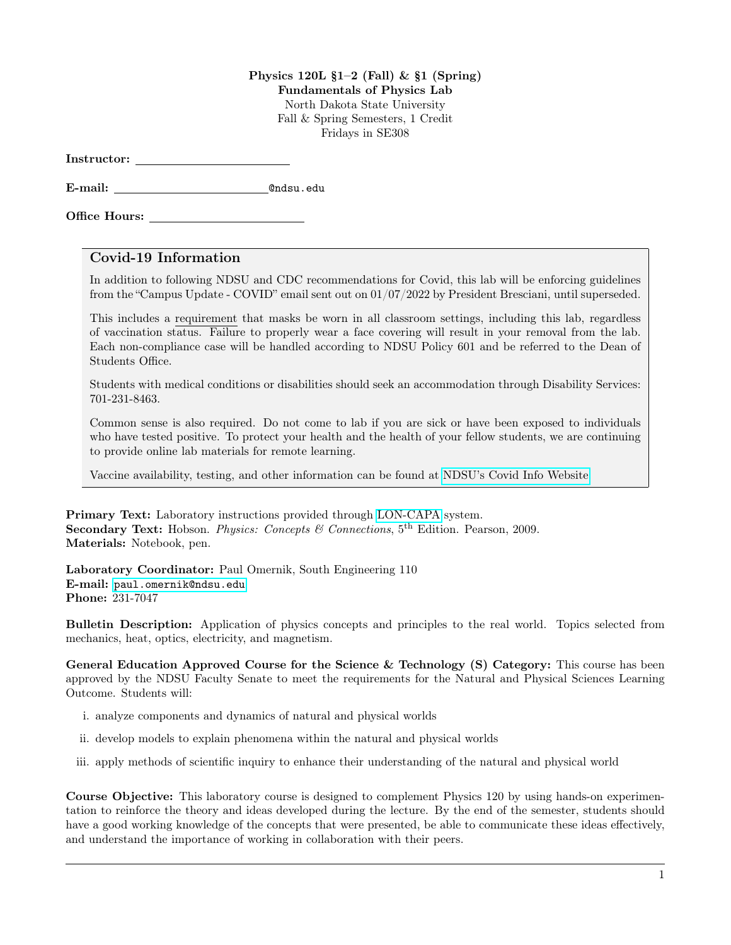## Physics 120L  $\S1-2$  (Fall) &  $\S1$  (Spring)

Fundamentals of Physics Lab

North Dakota State University Fall & Spring Semesters, 1 Credit Fridays in SE308

Instructor:

E-mail: @ndsu.edu

Office Hours:

## Covid-19 Information

In addition to following NDSU and CDC recommendations for Covid, this lab will be enforcing guidelines from the "Campus Update - COVID" email sent out on 01/07/2022 by President Bresciani, until superseded.

This includes a requirement that masks be worn in all classroom settings, including this lab, regardless of vaccination status. Failure to properly wear a face covering will result in your removal from the lab. Each non-compliance case will be handled according to NDSU Policy 601 and be referred to the Dean of Students Office.

Students with medical conditions or disabilities should seek an accommodation through Disability Services: 701-231-8463.

Common sense is also required. Do not come to lab if you are sick or have been exposed to individuals who have tested positive. To protect your health and the health of your fellow students, we are continuing to provide online lab materials for remote learning.

Vaccine availability, testing, and other information can be found at [NDSU's Covid Info Website.](https://www.ndsu.edu/studenthealthservice/patient_resources/covid_19_information/)

Primary Text: Laboratory instructions provided through [LON-CAPA](https://www.ndsu.edu/physics/students/lon_capa/#c38395) system. **Secondary Text:** Hobson. *Physics: Concepts & Connections*,  $5<sup>th</sup>$  Edition. Pearson, 2009. Materials: Notebook, pen.

Laboratory Coordinator: Paul Omernik, South Engineering 110 E-mail: <paul.omernik@ndsu.edu> Phone: 231-7047

Bulletin Description: Application of physics concepts and principles to the real world. Topics selected from mechanics, heat, optics, electricity, and magnetism.

General Education Approved Course for the Science & Technology (S) Category: This course has been approved by the NDSU Faculty Senate to meet the requirements for the Natural and Physical Sciences Learning Outcome. Students will:

- i. analyze components and dynamics of natural and physical worlds
- ii. develop models to explain phenomena within the natural and physical worlds
- iii. apply methods of scientific inquiry to enhance their understanding of the natural and physical world

Course Objective: This laboratory course is designed to complement Physics 120 by using hands-on experimentation to reinforce the theory and ideas developed during the lecture. By the end of the semester, students should have a good working knowledge of the concepts that were presented, be able to communicate these ideas effectively, and understand the importance of working in collaboration with their peers.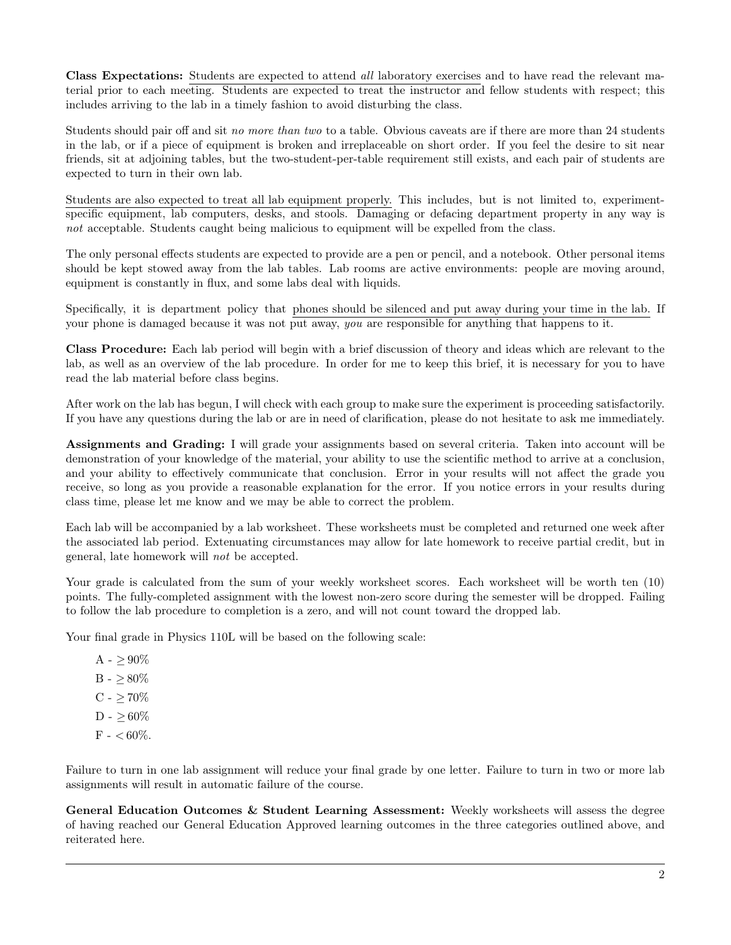Class Expectations: Students are expected to attend all laboratory exercises and to have read the relevant material prior to each meeting. Students are expected to treat the instructor and fellow students with respect; this includes arriving to the lab in a timely fashion to avoid disturbing the class.

Students should pair off and sit no more than two to a table. Obvious caveats are if there are more than 24 students in the lab, or if a piece of equipment is broken and irreplaceable on short order. If you feel the desire to sit near friends, sit at adjoining tables, but the two-student-per-table requirement still exists, and each pair of students are expected to turn in their own lab.

Students are also expected to treat all lab equipment properly. This includes, but is not limited to, experimentspecific equipment, lab computers, desks, and stools. Damaging or defacing department property in any way is not acceptable. Students caught being malicious to equipment will be expelled from the class.

The only personal effects students are expected to provide are a pen or pencil, and a notebook. Other personal items should be kept stowed away from the lab tables. Lab rooms are active environments: people are moving around, equipment is constantly in flux, and some labs deal with liquids.

Specifically, it is department policy that phones should be silenced and put away during your time in the lab. If your phone is damaged because it was not put away, you are responsible for anything that happens to it.

Class Procedure: Each lab period will begin with a brief discussion of theory and ideas which are relevant to the lab, as well as an overview of the lab procedure. In order for me to keep this brief, it is necessary for you to have read the lab material before class begins.

After work on the lab has begun, I will check with each group to make sure the experiment is proceeding satisfactorily. If you have any questions during the lab or are in need of clarification, please do not hesitate to ask me immediately.

Assignments and Grading: I will grade your assignments based on several criteria. Taken into account will be demonstration of your knowledge of the material, your ability to use the scientific method to arrive at a conclusion, and your ability to effectively communicate that conclusion. Error in your results will not affect the grade you receive, so long as you provide a reasonable explanation for the error. If you notice errors in your results during class time, please let me know and we may be able to correct the problem.

Each lab will be accompanied by a lab worksheet. These worksheets must be completed and returned one week after the associated lab period. Extenuating circumstances may allow for late homework to receive partial credit, but in general, late homework will not be accepted.

Your grade is calculated from the sum of your weekly worksheet scores. Each worksheet will be worth ten (10) points. The fully-completed assignment with the lowest non-zero score during the semester will be dropped. Failing to follow the lab procedure to completion is a zero, and will not count toward the dropped lab.

Your final grade in Physics 110L will be based on the following scale:

 $A - > 90\%$  $B - > 80\%$  $C - > 70\%$  $D - > 60\%$  $F -  $60\%$ .$ 

Failure to turn in one lab assignment will reduce your final grade by one letter. Failure to turn in two or more lab assignments will result in automatic failure of the course.

General Education Outcomes & Student Learning Assessment: Weekly worksheets will assess the degree of having reached our General Education Approved learning outcomes in the three categories outlined above, and reiterated here.